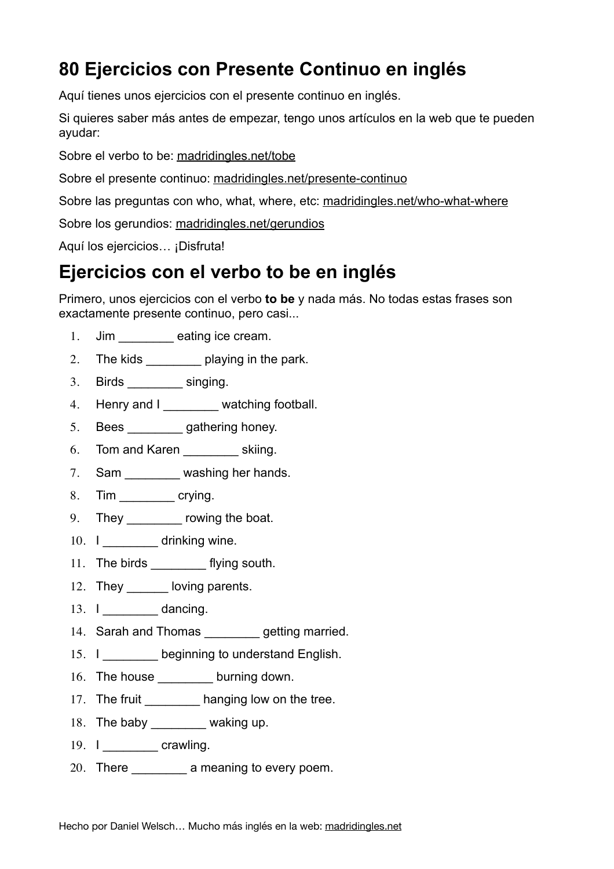# **80 Ejercicios con Presente Continuo en inglés**

Aquí tienes unos ejercicios con el presente continuo en inglés.

Si quieres saber más antes de empezar, tengo unos artículos en la web que te pueden ayudar:

Sobre el verbo to be: [madridingles.net/tobe](http://madridingles.net/tobe)

Sobre el presente continuo: [madridingles.net/presente-continuo](http://madridingles.net/presente-continuo)

Sobre las preguntas con who, what, where, etc: [madridingles.net/who-what-where](http://madridingles.net/who-what-where)

Sobre los gerundios: [madridingles.net/gerundios](http://madridingles.net/gerundios)

Aquí los ejercicios... ¡Disfruta!

### **Ejercicios con el verbo to be en inglés**

Primero, unos ejercicios con el verbo **to be** y nada más. No todas estas frases son exactamente presente continuo, pero casi...

- 1. Jim \_\_\_\_\_\_\_\_ eating ice cream.
- 2. The kids playing in the park.
- 3. Birds \_\_\_\_\_\_\_\_ singing.
- 4. Henry and I \_\_\_\_\_\_\_\_ watching football.
- 5. Bees gathering honey.
- 6. Tom and Karen skiing.
- 7. Sam washing her hands.
- 8. Tim crying.
- 9. They \_\_\_\_\_\_\_\_\_ rowing the boat.
- 10. I \_\_\_\_\_\_\_ drinking wine.
- 11. The birds \_\_\_\_\_\_\_\_\_ flying south.
- 12. They loving parents.
- 13. I dancing.
- 14. Sarah and Thomas example getting married.
- 15. I beginning to understand English.
- 16. The house burning down.
- 17. The fruit \_\_\_\_\_\_\_\_\_ hanging low on the tree.
- 18. The baby \_\_\_\_\_\_\_\_\_ waking up.
- 19. I crawling.
- 20. There \_\_\_\_\_\_\_\_\_\_\_\_\_ a meaning to every poem.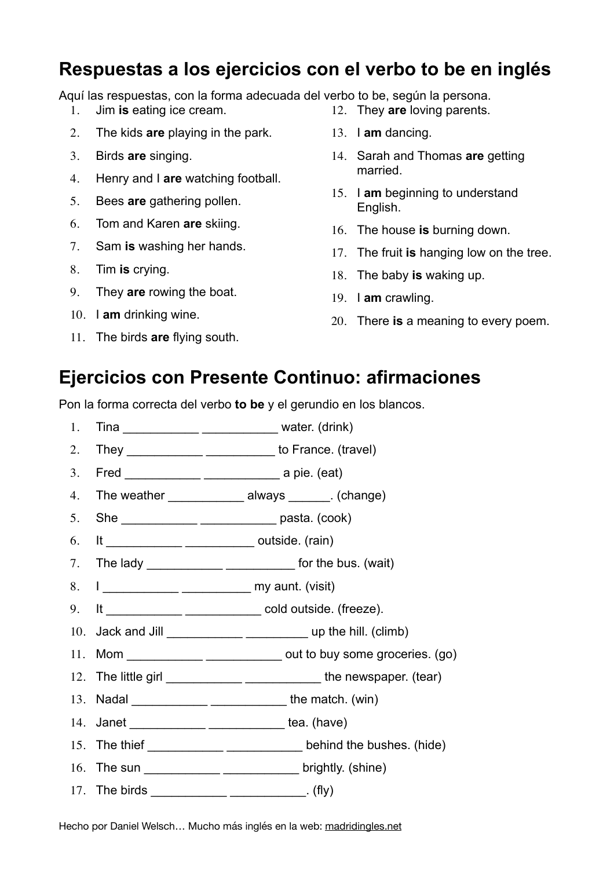# **Respuestas a los ejercicios con el verbo to be en inglés**

Aquí las respuestas, con la forma adecuada del verbo to be, según la persona.

- 1. Jim **is** eating ice cream.
- 2. The kids **are** playing in the park.
- 3. Birds **are** singing.
- 4. Henry and I **are** watching football.
- 5. Bees **are** gathering pollen.
- 6. Tom and Karen **are** skiing.
- 7. Sam **is** washing her hands.
- 8. Tim **is** crying.
- 9. They **are** rowing the boat.
- 10. I **am** drinking wine.
- 11. The birds **are** flying south.
- 12. They **are** loving parents.
- 13. I **am** dancing.
- 14. Sarah and Thomas **are** getting married.
- 15. I **am** beginning to understand English.
- 16. The house **is** burning down.
- 17. The fruit **is** hanging low on the tree.
- 18. The baby **is** waking up.
- 19. I **am** crawling.
- 20. There **is** a meaning to every poem.

#### **Ejercicios con Presente Continuo: afirmaciones**

Pon la forma correcta del verbo **to be** y el gerundio en los blancos.

- 1. Tina \_\_\_\_\_\_\_\_\_\_\_\_\_\_\_\_\_\_\_\_\_\_\_\_\_\_\_\_\_\_\_\_\_\_ water. (drink)
- 2. They \_\_\_\_\_\_\_\_\_\_\_\_\_\_\_\_\_\_\_\_\_\_\_\_\_\_\_\_\_\_\_\_ to France. (travel)
- 3. Fred \_\_\_\_\_\_\_\_\_\_\_ \_\_\_\_\_\_\_\_\_\_\_ a pie. (eat)
- 4. The weather **Example 2** always (change)
- 5. She \_\_\_\_\_\_\_\_\_\_\_ \_\_\_\_\_\_\_\_\_\_\_ pasta. (cook)
- 6. It \_\_\_\_\_\_\_\_\_\_\_ \_\_\_\_\_\_\_\_\_\_ outside. (rain)
- 7. The lady \_\_\_\_\_\_\_\_\_\_\_\_\_\_\_\_\_\_\_\_\_\_\_\_\_\_\_\_\_\_\_\_\_ for the bus. (wait)
- 8. I contract the my aunt. (visit)
- 9. It \_\_\_\_\_\_\_\_\_\_\_ \_\_\_\_\_\_\_\_\_\_\_ cold outside. (freeze).
- 10. Jack and Jill \_\_\_\_\_\_\_\_\_\_\_ \_\_\_\_\_\_\_\_\_ up the hill. (climb)
- 11. Mom \_\_\_\_\_\_\_\_\_\_\_ \_\_\_\_\_\_\_\_\_\_\_ out to buy some groceries. (go)
- 12. The little girl \_\_\_\_\_\_\_\_\_\_\_\_\_\_\_\_\_\_\_\_\_\_\_\_\_\_\_\_\_\_\_\_the newspaper. (tear)
- 13. Nadal \_\_\_\_\_\_\_\_\_\_\_ \_\_\_\_\_\_\_\_\_\_\_ the match. (win)
- 14. Janet \_\_\_\_\_\_\_\_\_\_\_\_\_\_\_\_\_\_\_\_\_\_\_\_\_\_\_\_\_\_\_\_\_\_ tea. (have)
- 15. The thief \_\_\_\_\_\_\_\_\_\_\_\_\_\_\_\_\_\_\_\_\_\_\_\_\_\_\_\_\_\_behind the bushes. (hide)
- 16. The sun \_\_\_\_\_\_\_\_\_\_\_\_\_\_\_\_\_\_\_\_\_\_\_\_\_\_\_\_\_\_\_\_\_brightly. (shine)
- 17. The birds  $\qquad \qquad$  (fly)

Hecho por Daniel Welsch… Mucho más inglés en la web: [madridingles.net](http://madridingles.net)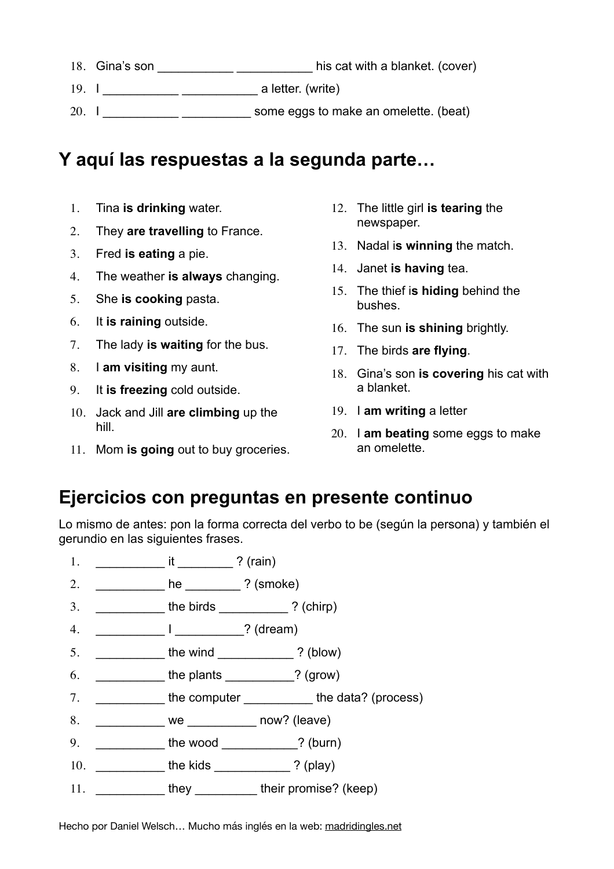- 18. Gina's son \_\_\_\_\_\_\_\_\_\_\_\_\_\_\_\_\_\_\_\_\_\_\_\_\_\_\_\_\_\_his cat with a blanket. (cover)
- 19. I \_\_\_\_\_\_\_\_\_\_\_ \_\_\_\_\_\_\_\_\_\_\_ a letter. (write)
- 20. I consider the some eggs to make an omelette. (beat)

# **Y aquí las respuestas a la segunda parte…**

- 1. Tina **is drinking** water.
- 2. They **are travelling** to France.
- 3. Fred **is eating** a pie.
- 4. The weather **is always** changing.
- 5. She **is cooking** pasta.
- 6. It **is raining** outside.
- 7. The lady **is waiting** for the bus.
- 8. I **am visiting** my aunt.
- 9. It **is freezing** cold outside.
- 10. Jack and Jill **are climbing** up the hill.
- 11. Mom **is going** out to buy groceries.
- 12. The little girl **is tearing** the newspaper.
- 13. Nadal i**s winning** the match.
- 14. Janet **is having** tea.
- 15. The thief i**s hiding** behind the bushes.
- 16. The sun **is shining** brightly.
- 17. The birds **are flying**.
- 18. Gina's son **is covering** his cat with a blanket.
- 19. I **am writing** a letter
- 20. I **am beating** some eggs to make an omelette.

### **Ejercicios con preguntas en presente continuo**

Lo mismo de antes: pon la forma correcta del verbo to be (según la persona) y también el gerundio en las siguientes frases.

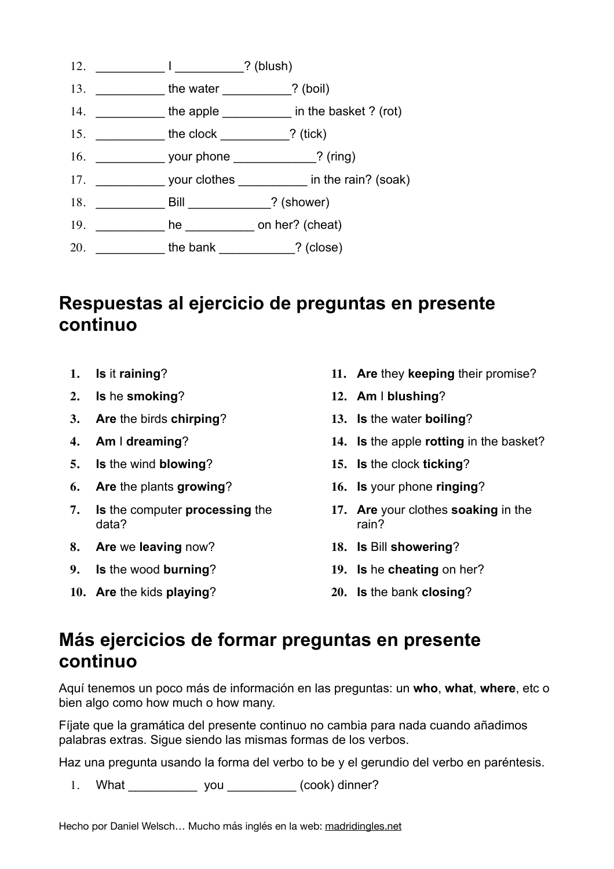

# **Respuestas al ejercicio de preguntas en presente continuo**

- **1. Is** it **raining**?
- **2. Is** he **smoking**?
- **3. Are** the birds **chirping**?
- **4. Am** I **dreaming**?
- **5. Is** the wind **blowing**?
- **6. Are** the plants **growing**?
- **7. Is** the computer **processing** the data?
- **8. Are** we **leaving** now?
- **9. Is** the wood **burning**?
- **10. Are** the kids **playing**?
- **11. Are** they **keeping** their promise?
- **12. Am** I **blushing**?
- **13. Is** the water **boiling**?
- **14. Is** the apple **rotting** in the basket?
- **15. Is** the clock **ticking**?
- **16. Is** your phone **ringing**?
- **17. Are** your clothes **soaking** in the rain?
- **18. Is** Bill **showering**?
- **19. Is** he **cheating** on her?
- **20. Is** the bank **closing**?

# **Más ejercicios de formar preguntas en presente continuo**

Aquí tenemos un poco más de información en las preguntas: un **who**, **what**, **where**, etc o bien algo como how much o how many.

Fíjate que la gramática del presente continuo no cambia para nada cuando añadimos palabras extras. Sigue siendo las mismas formas de los verbos.

Haz una pregunta usando la forma del verbo to be y el gerundio del verbo en paréntesis.

1. What you  $(cook)$  dinner?